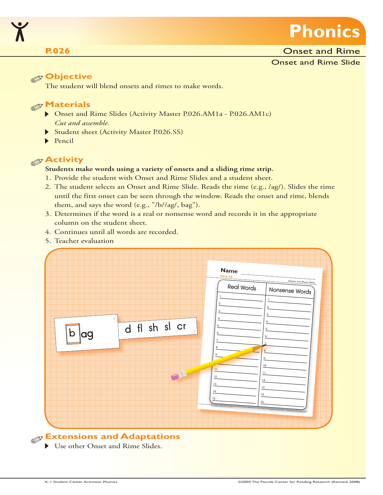

#### **P.026 Onset and Rime P.026**

Onset and Rime Slide

### **Objective**

The student will blend onsets and rimes to make words.

# **Materials**

- Onset and Rime Slides (Activity Master P.026.AM1a P.026.AM1c) *Cut and assemble.*
- Student sheet (Activity Master P.026.SS)
- $\blacktriangleright$  Pencil

## **Activity**

#### **Students make words using a variety of onsets and a sliding rime strip.**

- 1. Provide the student with Onset and Rime Slides and a student sheet.
- 2. The student selects an Onset and Rime Slide. Reads the rime (e.g., /ag/). Slides the rime until the first onset can be seen through the window. Reads the onset and rime, blends them, and says the word (e.g., "/b//ag/, bag").
- 3. Determines if the word is a real or nonsense word and records it in the appropriate column on the student sheet.
- 4. Continues until all words are recorded.
- 5. Teacher evaluation



Use other Onset and Rime Slides.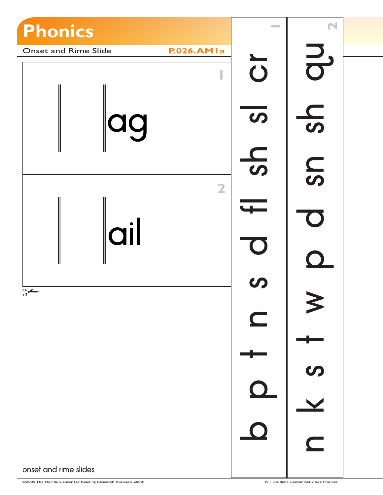

©2005 The Florida Center for Reading Research (Revised, 2008) K-1 Student Center Activities: Phonics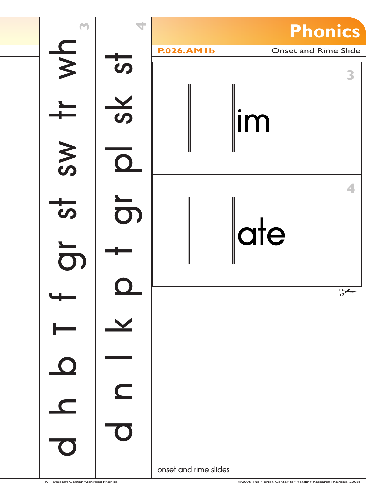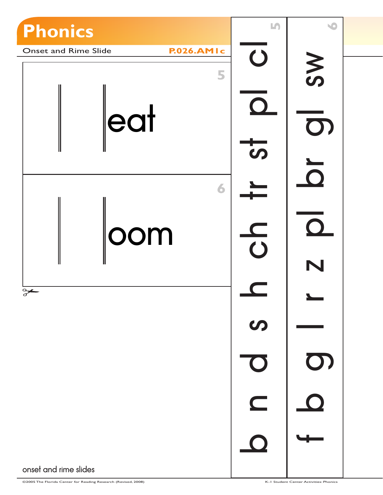

©2005 The Florida Center for Reading Research (Revised, 2008) K-1 Student Center Activities: Phonics